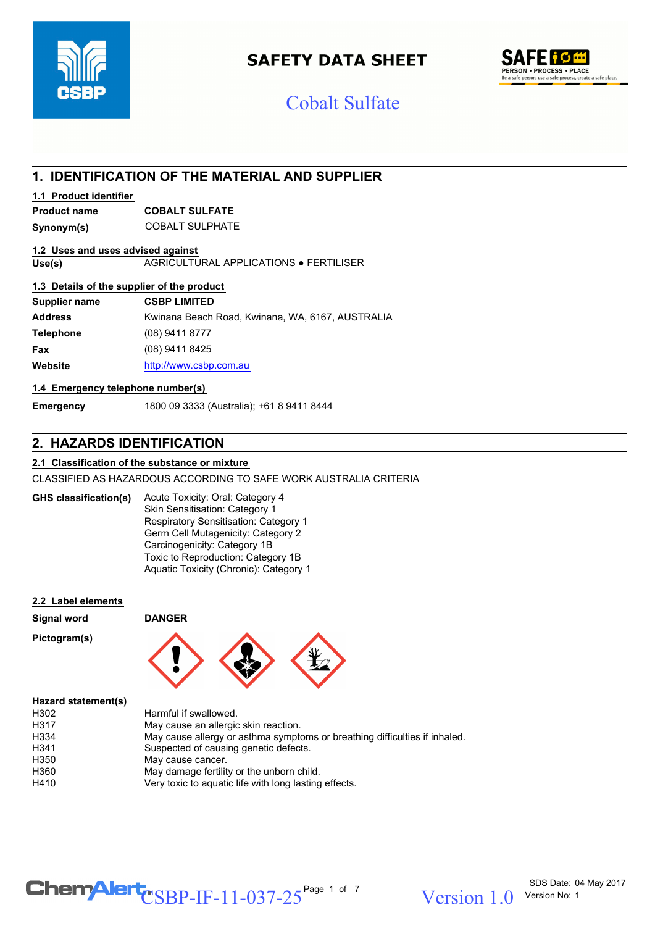

# **SAFETY DATA SHEET**



# Cobalt Sulfate

# **1. IDENTIFICATION OF THE MATERIAL AND SUPPLIER**

#### **1.1 Product identifier**

# **Product name COBALT SULFATE**

**Synonym(s)** COBALT SULPHATE

#### **1.2 Uses and uses advised against**

**Use(s)** AGRICULTURAL APPLICATIONS ● FERTILISER

#### **1.3 Details of the supplier of the product**

| Supplier name    | <b>CSBP LIMITED</b>                              |
|------------------|--------------------------------------------------|
| <b>Address</b>   | Kwinana Beach Road, Kwinana, WA, 6167, AUSTRALIA |
| <b>Telephone</b> | (08) 9411 8777                                   |
| Fax              | (08) 9411 8425                                   |
| Website          | http://www.csbp.com.au                           |

#### **1.4 Emergency telephone number(s)**

**Emergency** 1800 09 3333 (Australia); +61 8 9411 8444

# **2. HAZARDS IDENTIFICATION**

#### **2.1 Classification of the substance or mixture**

CLASSIFIED AS HAZARDOUS ACCORDING TO SAFE WORK AUSTRALIA CRITERIA

Acute Toxicity: Oral: Category 4 Skin Sensitisation: Category 1 Respiratory Sensitisation: Category 1 Germ Cell Mutagenicity: Category 2 Carcinogenicity: Category 1B Toxic to Reproduction: Category 1B Aquatic Toxicity (Chronic): Category 1 **GHS classification(s)**

**Signal word DANGER**

#### **2.2 Label elements**

| Signal word |  |
|-------------|--|
|-------------|--|





#### **Hazard statement(s)**

| May cause allergy or asthma symptoms or breathing difficulties if inhaled. |
|----------------------------------------------------------------------------|
|                                                                            |
|                                                                            |
|                                                                            |
|                                                                            |
|                                                                            |

# $\text{CSBP-IF-11-037-25}^{\text{Page 1 of 7}}$  Version 1.0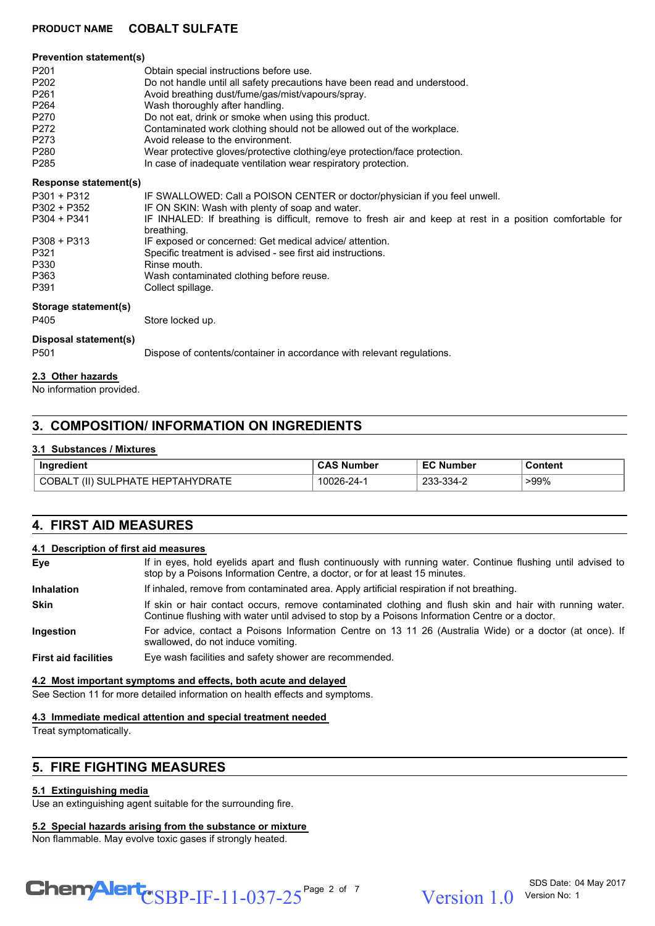| <b>Prevention statement(s)</b> |                                                                                                                         |  |  |
|--------------------------------|-------------------------------------------------------------------------------------------------------------------------|--|--|
| P <sub>201</sub>               | Obtain special instructions before use.                                                                                 |  |  |
| P <sub>202</sub>               | Do not handle until all safety precautions have been read and understood.                                               |  |  |
| P <sub>261</sub>               | Avoid breathing dust/fume/gas/mist/vapours/spray.                                                                       |  |  |
| P <sub>264</sub>               | Wash thoroughly after handling.                                                                                         |  |  |
| P270                           | Do not eat, drink or smoke when using this product.                                                                     |  |  |
| P272                           | Contaminated work clothing should not be allowed out of the workplace.                                                  |  |  |
| P273                           | Avoid release to the environment.                                                                                       |  |  |
| P <sub>280</sub>               | Wear protective gloves/protective clothing/eye protection/face protection.                                              |  |  |
| P <sub>285</sub>               | In case of inadequate ventilation wear respiratory protection.                                                          |  |  |
| <b>Response statement(s)</b>   |                                                                                                                         |  |  |
| P301 + P312                    | IF SWALLOWED: Call a POISON CENTER or doctor/physician if you feel unwell.                                              |  |  |
| P302 + P352                    | IF ON SKIN: Wash with plenty of soap and water.                                                                         |  |  |
| $P304 + P341$                  | IF INHALED: If breathing is difficult, remove to fresh air and keep at rest in a position comfortable for<br>breathing. |  |  |
| $P308 + P313$                  | IF exposed or concerned: Get medical advice/attention.                                                                  |  |  |
| P321                           | Specific treatment is advised - see first aid instructions.                                                             |  |  |
| P330                           | Rinse mouth.                                                                                                            |  |  |
| P363                           | Wash contaminated clothing before reuse.                                                                                |  |  |
| P391                           | Collect spillage.                                                                                                       |  |  |
| Storage statement(s)           |                                                                                                                         |  |  |
| P405                           | Store locked up.                                                                                                        |  |  |
| Disposal statement(s)          |                                                                                                                         |  |  |
| P <sub>501</sub>               | Dispose of contents/container in accordance with relevant regulations.                                                  |  |  |
| 2.3 Other hazards              |                                                                                                                         |  |  |

No information provided.

# **3. COMPOSITION/ INFORMATION ON INGREDIENTS**

#### **3.1 Substances / Mixtures**

| Ingredient                                                            | . Number  | umber                         | Content |
|-----------------------------------------------------------------------|-----------|-------------------------------|---------|
| TAHYDRATE<br>. HEPT $^{\circ}$<br>(11)<br>SUI.<br>LPHATE '<br>™ JBA∟. | 0026-24-1 | $334 - 2$<br>ົ<br>- د د ت د ت | $>99\%$ |

# **4. FIRST AID MEASURES**

#### **4.1 Description of first aid measures**

| Eye                         | If in eyes, hold eyelids apart and flush continuously with running water. Continue flushing until advised to<br>stop by a Poisons Information Centre, a doctor, or for at least 15 minutes.                 |
|-----------------------------|-------------------------------------------------------------------------------------------------------------------------------------------------------------------------------------------------------------|
| <b>Inhalation</b>           | If inhaled, remove from contaminated area. Apply artificial respiration if not breathing.                                                                                                                   |
| <b>Skin</b>                 | If skin or hair contact occurs, remove contaminated clothing and flush skin and hair with running water.<br>Continue flushing with water until advised to stop by a Poisons Information Centre or a doctor. |
| <b>Ingestion</b>            | For advice, contact a Poisons Information Centre on 13 11 26 (Australia Wide) or a doctor (at once). If<br>swallowed, do not induce vomiting.                                                               |
| <b>First aid facilities</b> | Eye wash facilities and safety shower are recommended.                                                                                                                                                      |

#### **4.2 Most important symptoms and effects, both acute and delayed**

See Section 11 for more detailed information on health effects and symptoms.

#### **4.3 Immediate medical attention and special treatment needed**

Treat symptomatically.

# **5. FIRE FIGHTING MEASURES**

#### **5.1 Extinguishing media**

Use an extinguishing agent suitable for the surrounding fire.

#### **5.2 Special hazards arising from the substance or mixture**

Non flammable. May evolve toxic gases if strongly heated.



Version 1 0 Version No: 1

SDS Date: 04 May 2017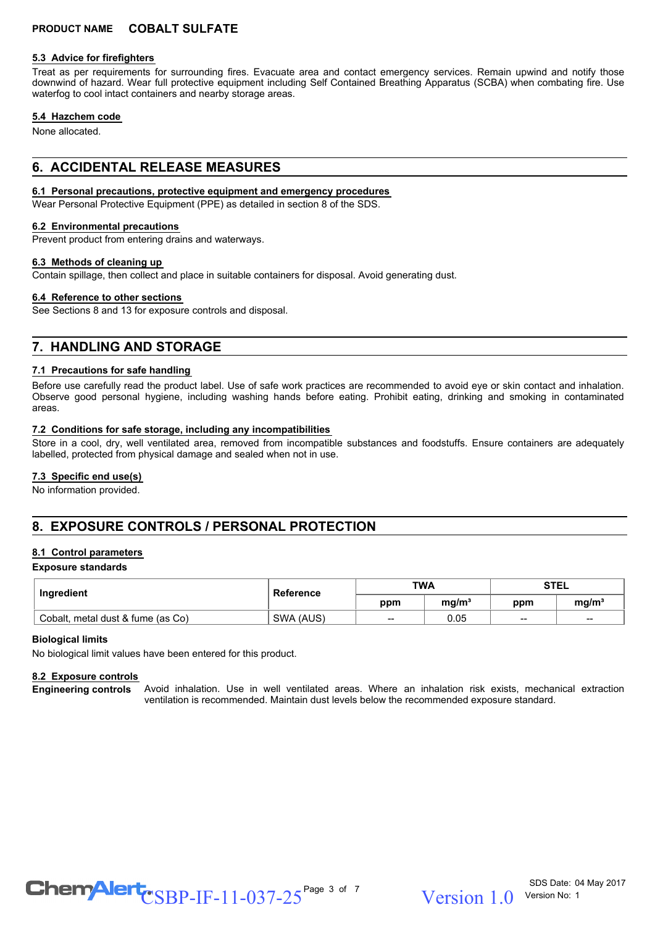#### **5.3 Advice for firefighters**

Treat as per requirements for surrounding fires. Evacuate area and contact emergency services. Remain upwind and notify those downwind of hazard. Wear full protective equipment including Self Contained Breathing Apparatus (SCBA) when combating fire. Use waterfog to cool intact containers and nearby storage areas.

#### **5.4 Hazchem code**

None allocated.

## **6. ACCIDENTAL RELEASE MEASURES**

#### **6.1 Personal precautions, protective equipment and emergency procedures**

Wear Personal Protective Equipment (PPE) as detailed in section 8 of the SDS.

#### **6.2 Environmental precautions**

Prevent product from entering drains and waterways.

#### **6.3 Methods of cleaning up**

Contain spillage, then collect and place in suitable containers for disposal. Avoid generating dust.

#### **6.4 Reference to other sections**

See Sections 8 and 13 for exposure controls and disposal.

## **7. HANDLING AND STORAGE**

#### **7.1 Precautions for safe handling**

Before use carefully read the product label. Use of safe work practices are recommended to avoid eye or skin contact and inhalation. Observe good personal hygiene, including washing hands before eating. Prohibit eating, drinking and smoking in contaminated areas.

#### **7.2 Conditions for safe storage, including any incompatibilities**

Store in a cool, dry, well ventilated area, removed from incompatible substances and foodstuffs. Ensure containers are adequately labelled, protected from physical damage and sealed when not in use.

#### **7.3 Specific end use(s)**

No information provided.

# **8. EXPOSURE CONTROLS / PERSONAL PROTECTION**

#### **8.1 Control parameters**

#### **Exposure standards**

| Ingredient                        | Reference | <b>TWA</b> |                   | <b>STEL</b> |                   |
|-----------------------------------|-----------|------------|-------------------|-------------|-------------------|
|                                   |           | ppm        | ma/m <sup>3</sup> | ppm         | mq/m <sup>3</sup> |
| Cobalt, metal dust & fume (as Co) | SWA (AUS) | $- -$      | 0.05              | $- -$       | --                |

#### **Biological limits**

No biological limit values have been entered for this product.

#### **8.2 Exposure controls**

Avoid inhalation. Use in well ventilated areas. Where an inhalation risk exists, mechanical extraction ventilation is recommended. Maintain dust levels below the recommended exposure standard. **Engineering controls**

 $\text{CSBP-IF-11-037-25}^{\text{Page 3 of 7}}$  Version 1.0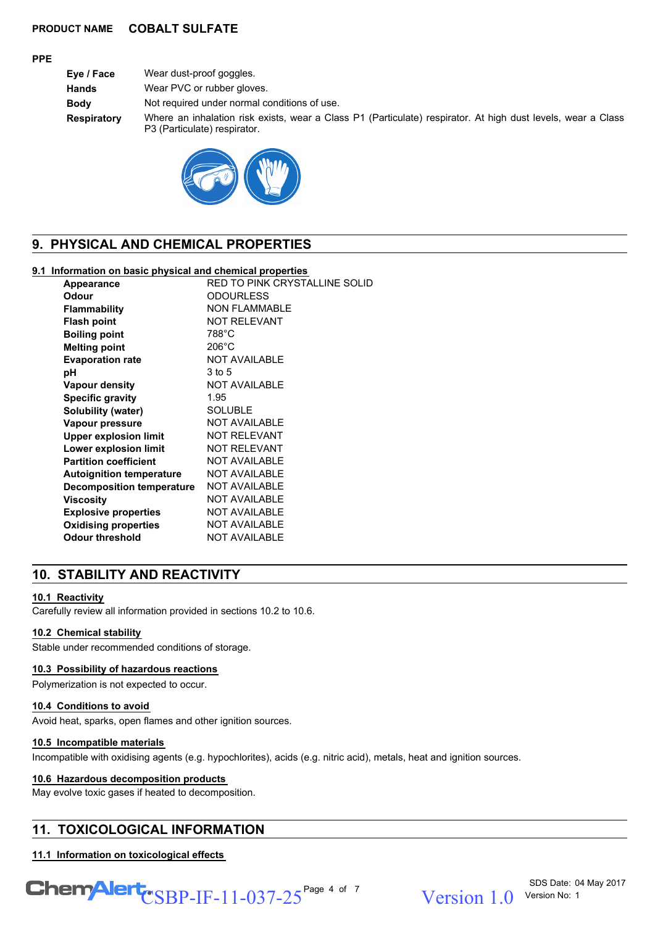#### **PPE**

**Eye / Face** Wear dust-proof goggles. **Hands** Wear PVC or rubber gloves. **Body** Not required under normal conditions of use. **Respiratory** Where an inhalation risk exists, wear a Class P1 (Particulate) respirator. At high dust levels, wear a Class P3 (Particulate) respirator.



# **9. PHYSICAL AND CHEMICAL PROPERTIES**

#### **9.1 Information on basic physical and chemical properties**

| Appearance                      | RED TO PINK CRYSTALLINE SOLID |
|---------------------------------|-------------------------------|
| Odour                           | <b>ODOURLESS</b>              |
| <b>Flammability</b>             | <b>NON FLAMMABLE</b>          |
| <b>Flash point</b>              | <b>NOT RELEVANT</b>           |
| <b>Boiling point</b>            | 788°C                         |
| <b>Melting point</b>            | $206^{\circ}$ C               |
| <b>Evaporation rate</b>         | <b>NOT AVAILABLE</b>          |
| рH                              | 3 to 5                        |
| <b>Vapour density</b>           | <b>NOT AVAILABLE</b>          |
| <b>Specific gravity</b>         | 1.95                          |
| Solubility (water)              | <b>SOLUBLE</b>                |
| Vapour pressure                 | <b>NOT AVAILABLE</b>          |
| <b>Upper explosion limit</b>    | <b>NOT RELEVANT</b>           |
| Lower explosion limit           | <b>NOT RELEVANT</b>           |
| <b>Partition coefficient</b>    | <b>NOT AVAILABLE</b>          |
| <b>Autoignition temperature</b> | <b>NOT AVAILABLE</b>          |
| Decomposition temperature       | <b>NOT AVAILABLE</b>          |
| Viscosity                       | <b>NOT AVAILABLE</b>          |
| <b>Explosive properties</b>     | <b>NOT AVAILABLE</b>          |
| <b>Oxidising properties</b>     | <b>NOT AVAILABLE</b>          |
| <b>Odour threshold</b>          | <b>NOT AVAILABLE</b>          |
|                                 |                               |

# **10. STABILITY AND REACTIVITY**

#### **10.1 Reactivity**

Carefully review all information provided in sections 10.2 to 10.6.

#### **10.2 Chemical stability**

Stable under recommended conditions of storage.

#### **10.3 Possibility of hazardous reactions**

Polymerization is not expected to occur.

#### **10.4 Conditions to avoid**

Avoid heat, sparks, open flames and other ignition sources.

#### **10.5 Incompatible materials**

Incompatible with oxidising agents (e.g. hypochlorites), acids (e.g. nitric acid), metals, heat and ignition sources.

#### **10.6 Hazardous decomposition products**

May evolve toxic gases if heated to decomposition.

# **11. TOXICOLOGICAL INFORMATION**

#### **11.1 Information on toxicological effects**

 $\text{CSBP-IF-11-037-25}^{\text{Page 4 of 7}}$  Version 1.0

Version 1 0 Version No: 1

SDS Date: 04 May 2017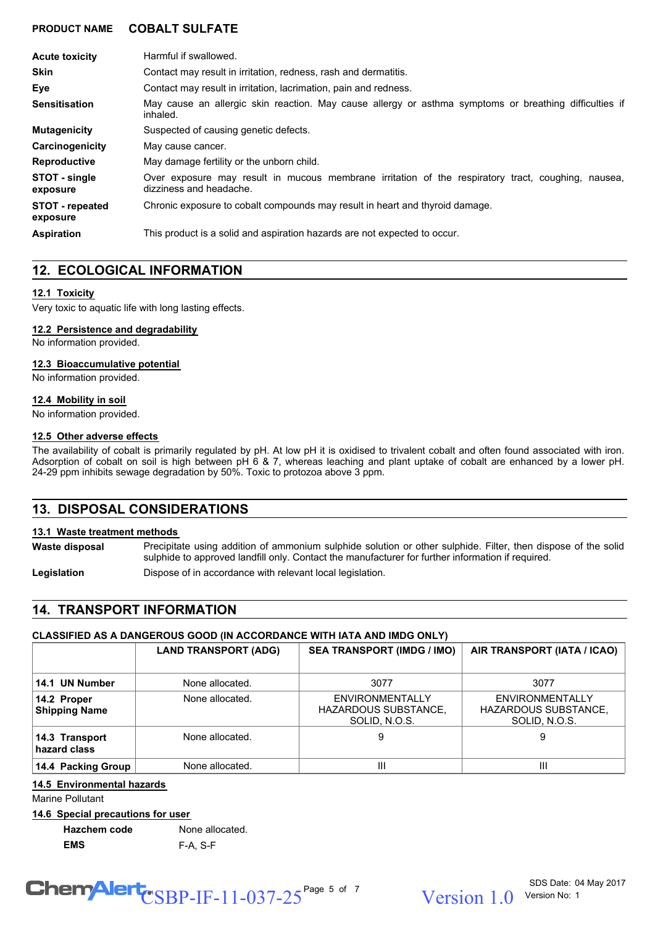| <b>Acute toxicity</b>              | Harmful if swallowed.                                                                                                            |  |  |
|------------------------------------|----------------------------------------------------------------------------------------------------------------------------------|--|--|
| <b>Skin</b>                        | Contact may result in irritation, redness, rash and dermatitis.                                                                  |  |  |
| Eye                                | Contact may result in irritation, lacrimation, pain and redness.                                                                 |  |  |
| <b>Sensitisation</b>               | May cause an allergic skin reaction. May cause allergy or asthma symptoms or breathing difficulties if<br>inhaled.               |  |  |
| <b>Mutagenicity</b>                | Suspected of causing genetic defects.                                                                                            |  |  |
| Carcinogenicity                    | May cause cancer.                                                                                                                |  |  |
| <b>Reproductive</b>                | May damage fertility or the unborn child.                                                                                        |  |  |
| STOT - single<br>exposure          | Over exposure may result in mucous membrane irritation of the respiratory tract, coughing,<br>nausea.<br>dizziness and headache. |  |  |
| <b>STOT</b> - repeated<br>exposure | Chronic exposure to cobalt compounds may result in heart and thyroid damage.                                                     |  |  |
| <b>Aspiration</b>                  | This product is a solid and aspiration hazards are not expected to occur.                                                        |  |  |

# **12. ECOLOGICAL INFORMATION**

#### **12.1 Toxicity**

Very toxic to aquatic life with long lasting effects.

#### **12.2 Persistence and degradability**

No information provided.

#### **12.3 Bioaccumulative potential**

No information provided.

#### **12.4 Mobility in soil**

No information provided.

#### **12.5 Other adverse effects**

The availability of cobalt is primarily regulated by pH. At low pH it is oxidised to trivalent cobalt and often found associated with iron. Adsorption of cobalt on soil is high between pH 6 & 7, whereas leaching and plant uptake of cobalt are enhanced by a lower pH. 24-29 ppm inhibits sewage degradation by 50%. Toxic to protozoa above 3 ppm.

# **13. DISPOSAL CONSIDERATIONS**

#### **13.1 Waste treatment methods**

Precipitate using addition of ammonium sulphide solution or other sulphide. Filter, then dispose of the solid sulphide to approved landfill only. Contact the manufacturer for further information if required. **Waste disposal**

Legislation **Dispose of in accordance with relevant local legislation.** 

# **14. TRANSPORT INFORMATION**

## **CLASSIFIED AS A DANGEROUS GOOD (IN ACCORDANCE WITH IATA AND IMDG ONLY)**

|                                     | <b>LAND TRANSPORT (ADG)</b> | <b>SEA TRANSPORT (IMDG / IMO)</b>                        | AIR TRANSPORT (IATA / ICAO)                              |
|-------------------------------------|-----------------------------|----------------------------------------------------------|----------------------------------------------------------|
| 14.1 UN Number                      | None allocated.             | 3077                                                     | 3077                                                     |
| 14.2 Proper<br><b>Shipping Name</b> | None allocated.             | ENVIRONMENTALLY<br>HAZARDOUS SUBSTANCE,<br>SOLID, N.O.S. | ENVIRONMENTALLY<br>HAZARDOUS SUBSTANCE,<br>SOLID, N.O.S. |
| 14.3 Transport<br>hazard class      | None allocated.             | 9                                                        | 9                                                        |
| 14.4 Packing Group                  | None allocated.             | Ш                                                        | Ш                                                        |

#### **14.5 Environmental hazards**

Marine Pollutant

#### **14.6 Special precautions for user**

**Hazchem code** None allocated. **EMS** F-A, S-F

# $\text{CSBP-IF-11-037-25}^{\text{Page 5 of 7}}$  Version 1.0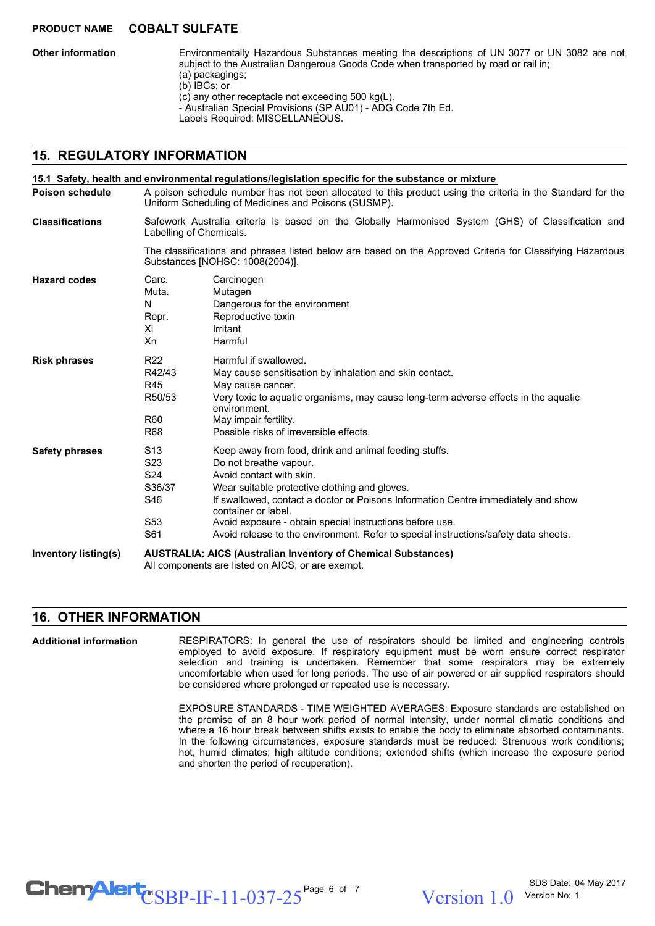**Other information**

Environmentally Hazardous Substances meeting the descriptions of UN 3077 or UN 3082 are not subject to the Australian Dangerous Goods Code when transported by road or rail in; (a) packagings; (b) IBCs; or (c) any other receptacle not exceeding 500 kg(L).

- Australian Special Provisions (SP AU01) - ADG Code 7th Ed.

Labels Required: MISCELLANEOUS.

# **15. REGULATORY INFORMATION**

| <b>Poison schedule</b>      | A poison schedule number has not been allocated to this product using the criteria in the Standard for the<br>Uniform Scheduling of Medicines and Poisons (SUSMP).                                                                                                                                                                                                                                                                                                                                                              |                                                                                                                                                                                                                                                                                  |  |  |
|-----------------------------|---------------------------------------------------------------------------------------------------------------------------------------------------------------------------------------------------------------------------------------------------------------------------------------------------------------------------------------------------------------------------------------------------------------------------------------------------------------------------------------------------------------------------------|----------------------------------------------------------------------------------------------------------------------------------------------------------------------------------------------------------------------------------------------------------------------------------|--|--|
| <b>Classifications</b>      |                                                                                                                                                                                                                                                                                                                                                                                                                                                                                                                                 | Safework Australia criteria is based on the Globally Harmonised System (GHS) of Classification and<br>Labelling of Chemicals.                                                                                                                                                    |  |  |
|                             | The classifications and phrases listed below are based on the Approved Criteria for Classifying Hazardous<br>Substances [NOHSC: 1008(2004)].                                                                                                                                                                                                                                                                                                                                                                                    |                                                                                                                                                                                                                                                                                  |  |  |
| <b>Hazard codes</b>         | Carc.<br>Muta.<br>N<br>Repr.<br>Χi<br>Xn                                                                                                                                                                                                                                                                                                                                                                                                                                                                                        | Carcinogen<br>Mutagen<br>Dangerous for the environment<br>Reproductive toxin<br>Irritant<br>Harmful                                                                                                                                                                              |  |  |
| <b>Risk phrases</b>         | R <sub>22</sub><br>R42/43<br>R45<br>R50/53<br>R60<br>R68                                                                                                                                                                                                                                                                                                                                                                                                                                                                        | Harmful if swallowed.<br>May cause sensitisation by inhalation and skin contact.<br>May cause cancer.<br>Very toxic to aquatic organisms, may cause long-term adverse effects in the aquatic<br>environment.<br>May impair fertility.<br>Possible risks of irreversible effects. |  |  |
| <b>Safety phrases</b>       | S <sub>13</sub><br>Keep away from food, drink and animal feeding stuffs.<br>S <sub>23</sub><br>Do not breathe vapour.<br>S <sub>24</sub><br>Avoid contact with skin.<br>S36/37<br>Wear suitable protective clothing and gloves.<br>S46<br>If swallowed, contact a doctor or Poisons Information Centre immediately and show<br>container or label.<br>S <sub>53</sub><br>Avoid exposure - obtain special instructions before use.<br>S61<br>Avoid release to the environment. Refer to special instructions/safety data sheets. |                                                                                                                                                                                                                                                                                  |  |  |
| <b>Inventory listing(s)</b> | <b>AUSTRALIA: AICS (Australian Inventory of Chemical Substances)</b><br>All components are listed on AICS, or are exempt.                                                                                                                                                                                                                                                                                                                                                                                                       |                                                                                                                                                                                                                                                                                  |  |  |

# **16. OTHER INFORMATION**

RESPIRATORS: In general the use of respirators should be limited and engineering controls employed to avoid exposure. If respiratory equipment must be worn ensure correct respirator selection and training is undertaken. Remember that some respirators may be extremely uncomfortable when used for long periods. The use of air powered or air supplied respirators should be considered where prolonged or repeated use is necessary. **Additional information**

> EXPOSURE STANDARDS - TIME WEIGHTED AVERAGES: Exposure standards are established on the premise of an 8 hour work period of normal intensity, under normal climatic conditions and where a 16 hour break between shifts exists to enable the body to eliminate absorbed contaminants. In the following circumstances, exposure standards must be reduced: Strenuous work conditions; hot, humid climates; high altitude conditions; extended shifts (which increase the exposure period and shorten the period of recuperation).

# $\text{CSBP-IF-11-037-25}^{\text{Page 6 of 7}}$  Version 1.0